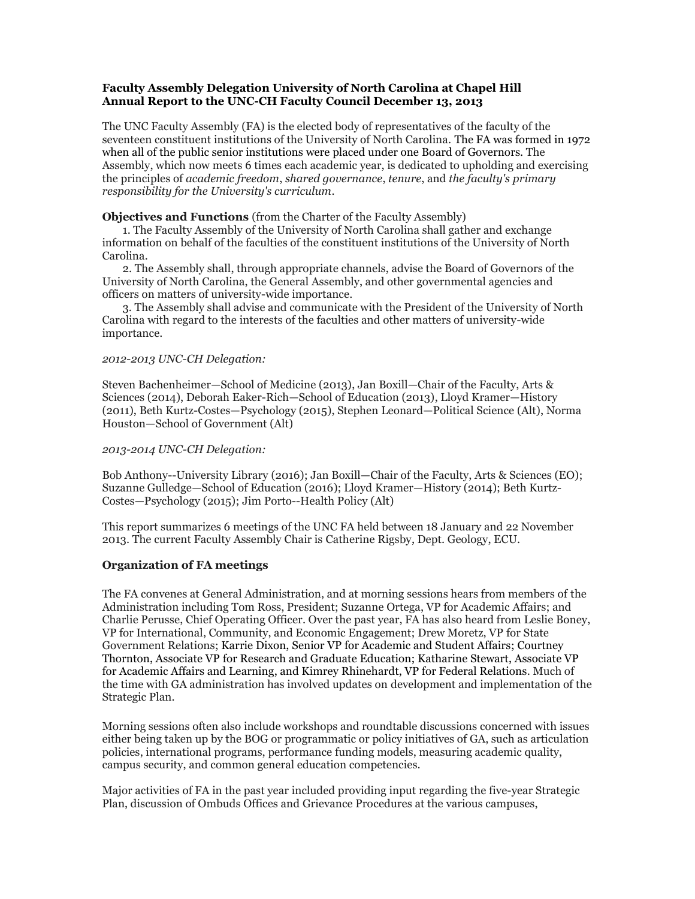## **Faculty Assembly Delegation University of North Carolina at Chapel Hill Annual Report to the UNC-CH Faculty Council December 13, 2013**

The UNC Faculty Assembly (FA) is the elected body of representatives of the faculty of the seventeen constituent institutions of the University of North Carolina. The FA was formed in 1972 when all of the public senior institutions were placed under one Board of Governors. The Assembly, which now meets 6 times each academic year, is dedicated to upholding and exercising the principles of *academic freedom*, *shared governance*, *tenure*, and *the faculty's primary responsibility for the University's curriculum*.

#### **Objectives and Functions** (from the Charter of the Faculty Assembly)

1. The Faculty Assembly of the University of North Carolina shall gather and exchange information on behalf of the faculties of the constituent institutions of the University of North Carolina.

2. The Assembly shall, through appropriate channels, advise the Board of Governors of the University of North Carolina, the General Assembly, and other governmental agencies and officers on matters of university-wide importance.

3. The Assembly shall advise and communicate with the President of the University of North Carolina with regard to the interests of the faculties and other matters of university-wide importance.

#### *2012-2013 UNC-CH Delegation:*

Steven Bachenheimer—School of Medicine (2013), Jan Boxill—Chair of the Faculty, Arts & Sciences (2014), Deborah Eaker-Rich—School of Education (2013), Lloyd Kramer—History (2011), Beth Kurtz-Costes—Psychology (2015), Stephen Leonard—Political Science (Alt), Norma Houston—School of Government (Alt)

### *2013-2014 UNC-CH Delegation:*

Bob Anthony--University Library (2016); Jan Boxill—Chair of the Faculty, Arts & Sciences (EO); Suzanne Gulledge—School of Education (2016); Lloyd Kramer—History (2014); Beth Kurtz-Costes—Psychology (2015); Jim Porto--Health Policy (Alt)

This report summarizes 6 meetings of the UNC FA held between 18 January and 22 November 2013. The current Faculty Assembly Chair is Catherine Rigsby, Dept. Geology, ECU.

### **Organization of FA meetings**

The FA convenes at General Administration, and at morning sessions hears from members of the Administration including Tom Ross, President; Suzanne Ortega, VP for Academic Affairs; and Charlie Perusse, Chief Operating Officer. Over the past year, FA has also heard from Leslie Boney, VP for International, Community, and Economic Engagement; Drew Moretz, VP for State Government Relations; Karrie Dixon, Senior VP for Academic and Student Affairs; Courtney Thornton, Associate VP for Research and Graduate Education; Katharine Stewart, Associate VP for Academic Affairs and Learning, and Kimrey Rhinehardt, VP for Federal Relations. Much of the time with GA administration has involved updates on development and implementation of the Strategic Plan.

Morning sessions often also include workshops and roundtable discussions concerned with issues either being taken up by the BOG or programmatic or policy initiatives of GA, such as articulation policies, international programs, performance funding models, measuring academic quality, campus security, and common general education competencies.

Major activities of FA in the past year included providing input regarding the five-year Strategic Plan, discussion of Ombuds Offices and Grievance Procedures at the various campuses,